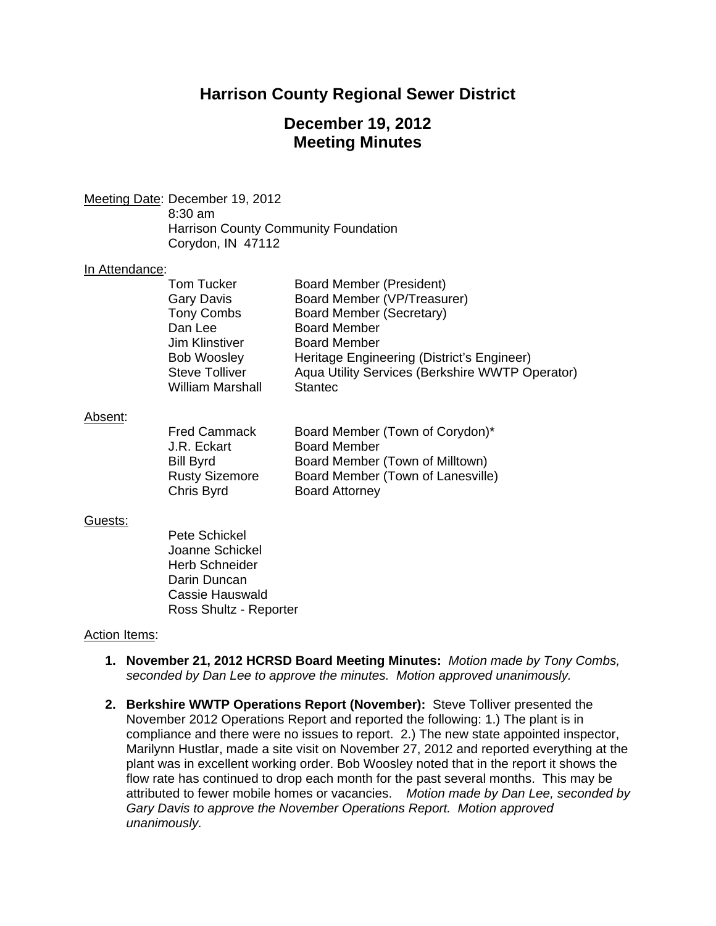## **Harrison County Regional Sewer District**

## **December 19, 2012 Meeting Minutes**

Meeting Date: December 19, 2012

 8:30 am Harrison County Community Foundation Corydon, IN 47112

### In Attendance:

| <b>Tom Tucker</b>       | Board Member (President)                        |
|-------------------------|-------------------------------------------------|
| <b>Gary Davis</b>       | Board Member (VP/Treasurer)                     |
| <b>Tony Combs</b>       | Board Member (Secretary)                        |
| Dan Lee                 | <b>Board Member</b>                             |
| Jim Klinstiver          | <b>Board Member</b>                             |
| <b>Bob Woosley</b>      | Heritage Engineering (District's Engineer)      |
| <b>Steve Tolliver</b>   | Aqua Utility Services (Berkshire WWTP Operator) |
| <b>William Marshall</b> | <b>Stantec</b>                                  |

#### Absent:

| <b>Fred Cammack</b>   | Board Member (Town of Corydon)*   |
|-----------------------|-----------------------------------|
| J.R. Eckart           | <b>Board Member</b>               |
| <b>Bill Byrd</b>      | Board Member (Town of Milltown)   |
| <b>Rusty Sizemore</b> | Board Member (Town of Lanesville) |
| Chris Byrd            | <b>Board Attorney</b>             |

### Guests:

Pete Schickel Joanne Schickel Herb Schneider Darin Duncan Cassie Hauswald Ross Shultz - Reporter

### Action Items:

- **1. November 21, 2012 HCRSD Board Meeting Minutes:** *Motion made by Tony Combs, seconded by Dan Lee to approve the minutes. Motion approved unanimously.*
- **2. Berkshire WWTP Operations Report (November):** Steve Tolliver presented the November 2012 Operations Report and reported the following: 1.) The plant is in compliance and there were no issues to report. 2.) The new state appointed inspector, Marilynn Hustlar, made a site visit on November 27, 2012 and reported everything at the plant was in excellent working order. Bob Woosley noted that in the report it shows the flow rate has continued to drop each month for the past several months. This may be attributed to fewer mobile homes or vacancies. *Motion made by Dan Lee, seconded by Gary Davis to approve the November Operations Report. Motion approved unanimously.*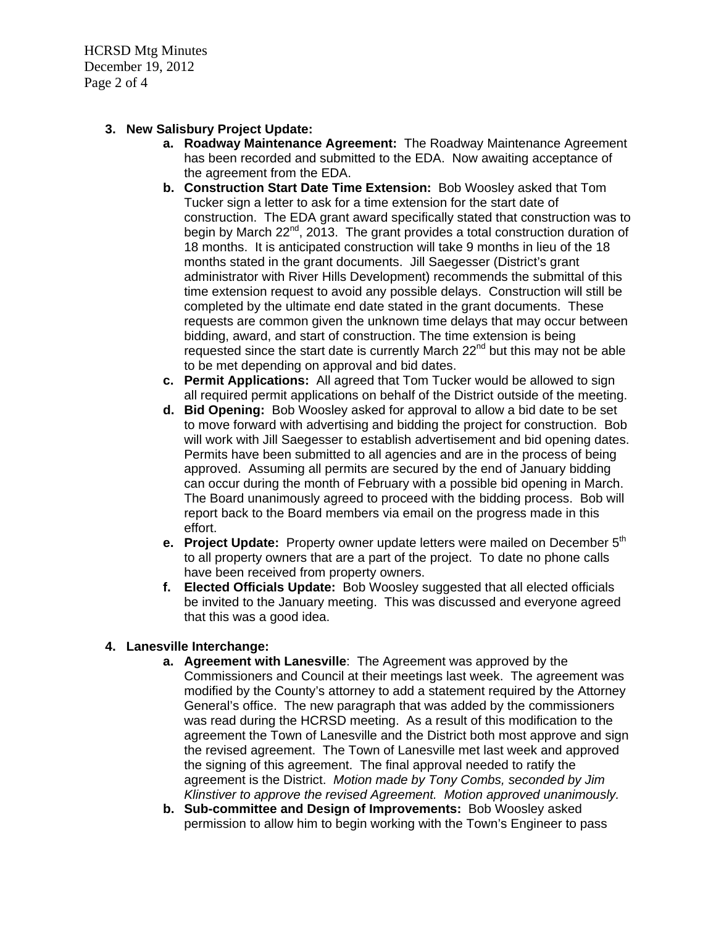HCRSD Mtg Minutes December 19, 2012 Page 2 of 4

## **3. New Salisbury Project Update:**

- **a. Roadway Maintenance Agreement:** The Roadway Maintenance Agreement has been recorded and submitted to the EDA. Now awaiting acceptance of the agreement from the EDA.
- **b. Construction Start Date Time Extension:** Bob Woosley asked that Tom Tucker sign a letter to ask for a time extension for the start date of construction. The EDA grant award specifically stated that construction was to begin by March  $22^{nd}$ ,  $2013$ . The grant provides a total construction duration of 18 months. It is anticipated construction will take 9 months in lieu of the 18 months stated in the grant documents. Jill Saegesser (District's grant administrator with River Hills Development) recommends the submittal of this time extension request to avoid any possible delays. Construction will still be completed by the ultimate end date stated in the grant documents. These requests are common given the unknown time delays that may occur between bidding, award, and start of construction. The time extension is being requested since the start date is currently March  $22<sup>nd</sup>$  but this may not be able to be met depending on approval and bid dates.
- **c. Permit Applications:** All agreed that Tom Tucker would be allowed to sign all required permit applications on behalf of the District outside of the meeting.
- **d. Bid Opening:** Bob Woosley asked for approval to allow a bid date to be set to move forward with advertising and bidding the project for construction. Bob will work with Jill Saegesser to establish advertisement and bid opening dates. Permits have been submitted to all agencies and are in the process of being approved. Assuming all permits are secured by the end of January bidding can occur during the month of February with a possible bid opening in March. The Board unanimously agreed to proceed with the bidding process. Bob will report back to the Board members via email on the progress made in this effort.
- **e. Project Update:** Property owner update letters were mailed on December 5<sup>th</sup> to all property owners that are a part of the project. To date no phone calls have been received from property owners.
- **f. Elected Officials Update:** Bob Woosley suggested that all elected officials be invited to the January meeting. This was discussed and everyone agreed that this was a good idea.

## **4. Lanesville Interchange:**

- **a. Agreement with Lanesville**: The Agreement was approved by the Commissioners and Council at their meetings last week. The agreement was modified by the County's attorney to add a statement required by the Attorney General's office. The new paragraph that was added by the commissioners was read during the HCRSD meeting. As a result of this modification to the agreement the Town of Lanesville and the District both most approve and sign the revised agreement. The Town of Lanesville met last week and approved the signing of this agreement. The final approval needed to ratify the agreement is the District. *Motion made by Tony Combs, seconded by Jim Klinstiver to approve the revised Agreement. Motion approved unanimously.*
- **b. Sub-committee and Design of Improvements:** Bob Woosley asked permission to allow him to begin working with the Town's Engineer to pass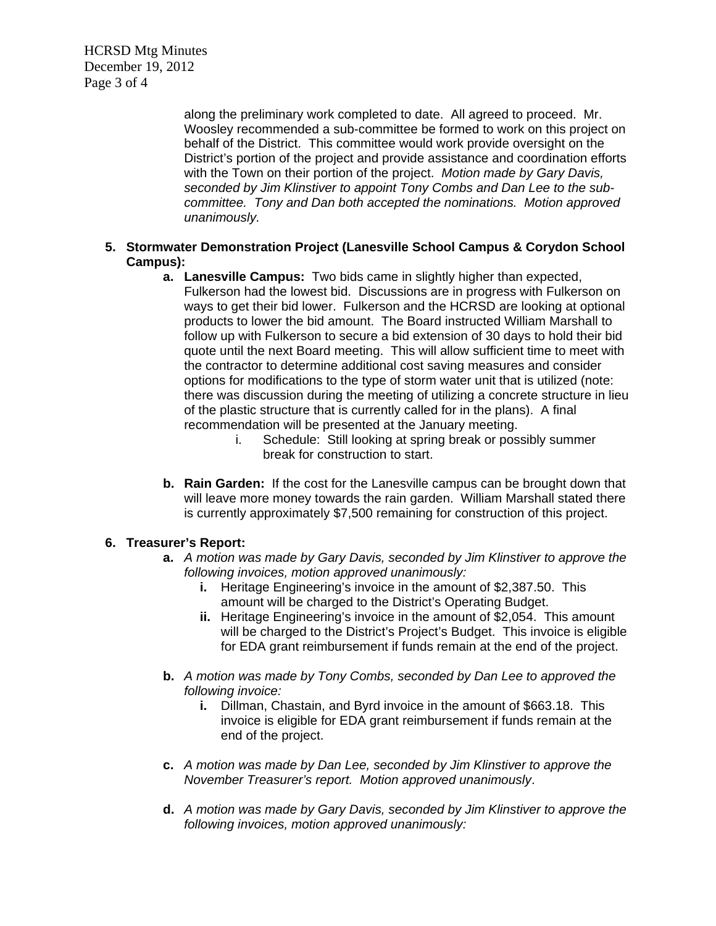HCRSD Mtg Minutes December 19, 2012 Page 3 of 4

> along the preliminary work completed to date. All agreed to proceed. Mr. Woosley recommended a sub-committee be formed to work on this project on behalf of the District. This committee would work provide oversight on the District's portion of the project and provide assistance and coordination efforts with the Town on their portion of the project. *Motion made by Gary Davis, seconded by Jim Klinstiver to appoint Tony Combs and Dan Lee to the subcommittee. Tony and Dan both accepted the nominations. Motion approved unanimously.*

## **5. Stormwater Demonstration Project (Lanesville School Campus & Corydon School Campus):**

- **a. Lanesville Campus:** Two bids came in slightly higher than expected, Fulkerson had the lowest bid. Discussions are in progress with Fulkerson on ways to get their bid lower. Fulkerson and the HCRSD are looking at optional products to lower the bid amount. The Board instructed William Marshall to follow up with Fulkerson to secure a bid extension of 30 days to hold their bid quote until the next Board meeting. This will allow sufficient time to meet with the contractor to determine additional cost saving measures and consider options for modifications to the type of storm water unit that is utilized (note: there was discussion during the meeting of utilizing a concrete structure in lieu of the plastic structure that is currently called for in the plans). A final recommendation will be presented at the January meeting.
	- i. Schedule: Still looking at spring break or possibly summer break for construction to start.
- **b. Rain Garden:** If the cost for the Lanesville campus can be brought down that will leave more money towards the rain garden. William Marshall stated there is currently approximately \$7,500 remaining for construction of this project.

## **6. Treasurer's Report:**

- **a.** *A motion was made by Gary Davis, seconded by Jim Klinstiver to approve the following invoices, motion approved unanimously:* 
	- **i.** Heritage Engineering's invoice in the amount of \$2,387.50. This amount will be charged to the District's Operating Budget.
	- **ii.** Heritage Engineering's invoice in the amount of \$2,054. This amount will be charged to the District's Project's Budget. This invoice is eligible for EDA grant reimbursement if funds remain at the end of the project.
- **b.** *A motion was made by Tony Combs, seconded by Dan Lee to approved the following invoice:*
	- **i.** Dillman, Chastain, and Byrd invoice in the amount of \$663.18. This invoice is eligible for EDA grant reimbursement if funds remain at the end of the project.
- **c.** *A motion was made by Dan Lee, seconded by Jim Klinstiver to approve the November Treasurer's report. Motion approved unanimously*.
- **d.** *A motion was made by Gary Davis, seconded by Jim Klinstiver to approve the following invoices, motion approved unanimously:*